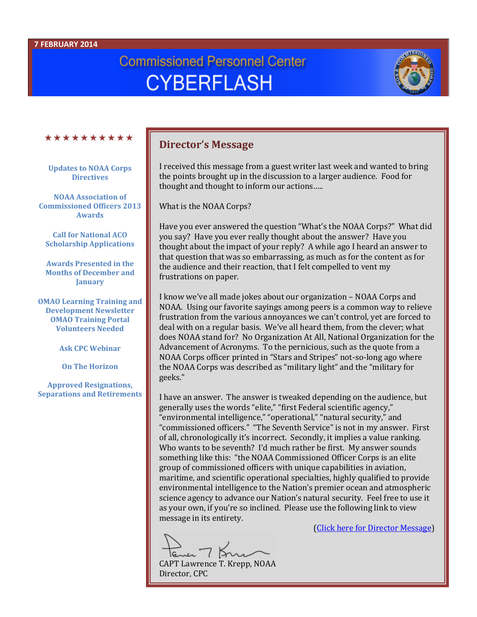#### **7 FEBRUARY 2014**

# **Commissioned Personnel Center CYBERFLASH**



#### \*\*\*\*\*\*\*\*\*\*

**Updates to NOAA Corps Directives**

**NOAA Association of Commissioned Officers 2013 Awards**

**Call for National ACO Scholarship Applications**

**Awards Presented in the Months of December and January**

**OMAO Learning Training and Development Newsletter OMAO Training Portal Volunteers Needed**

**Ask CPC Webinar**

**On The Horizon**

**Approved Resignations, Separations and Retirements**

## **Director's Message**

I received this message from a guest writer last week and wanted to bring the points brought up in the discussion to a larger audience. Food for thought and thought to inform our actions…..

What is the NOAA Corps?

Have you ever answered the question "What's the NOAA Corps?" What did you say? Have you ever really thought about the answer? Have you thought about the impact of your reply? A while ago I heard an answer to that question that was so embarrassing, as much as for the content as for the audience and their reaction, that I felt compelled to vent my frustrations on paper.

I know we've all made jokes about our organization – NOAA Corps and NOAA. Using our favorite sayings among peers is a common way to relieve frustration from the various annoyances we can't control, yet are forced to deal with on a regular basis. We've all heard them, from the clever; what does NOAA stand for? No Organization At All, National Organization for the Advancement of Acronyms. To the pernicious, such as the quote from a NOAA Corps officer printed in "Stars and Stripes" not-so-long ago where the NOAA Corps was described as "military light" and the "military for geeks."

I have an answer. The answer is tweaked depending on the audience, but generally uses the words "elite," "first Federal scientific agency," "environmental intelligence," "operational," "natural security," and "commissioned officers." "The Seventh Service" is not in my answer. First of all, chronologically it's incorrect. Secondly, it implies a value ranking. Who wants to be seventh? I'd much rather be first. My answer sounds something like this: "the NOAA Commissioned Officer Corps is an elite group of commissioned officers with unique capabilities in aviation, maritime, and scientific operational specialties, highly qualified to provide environmental intelligence to the Nation's premier ocean and atmospheric science agency to advance our Nation's natural security. Feel free to use it as your own, if you're so inclined. Please use the following link to view message in its entirety.

 $7K$ CAPT Lawrence T. Krepp, NOAA

[\(Click here for Director Message\)](http://www.corpscpc.noaa.gov/cyberflash/cyberflash2014/Cyb20140207_directors_message.pdf)

Director, CPC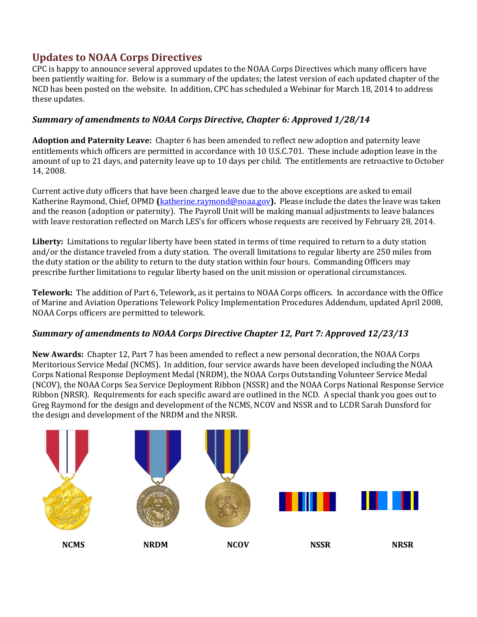# **Updates to NOAA Corps Directives**

CPC is happy to announce several approved updates to the NOAA Corps Directives which many officers have been patiently waiting for. Below is a summary of the updates; the latest version of each updated chapter of the NCD has been posted on the website. In addition, CPC has scheduled a Webinar for March 18, 2014 to address these updates.

## *Summary of amendments to NOAA Corps Directive, Chapter 6: Approved 1/28/14*

**Adoption and Paternity Leave:** Chapter 6 has been amended to reflect new adoption and paternity leave entitlements which officers are permitted in accordance with 10 U.S.C.701. These include adoption leave in the amount of up to 21 days, and paternity leave up to 10 days per child. The entitlements are retroactive to October 14, 2008.

Current active duty officers that have been charged leave due to the above exceptions are asked to email Katherine Raymond, Chief, OPMD **(**[katherine.raymond@noaa.gov](mailto:katherine.raymond@noaa.gov)**).** Please include the dates the leave was taken and the reason (adoption or paternity). The Payroll Unit will be making manual adjustments to leave balances with leave restoration reflected on March LES's for officers whose requests are received by February 28, 2014.

**Liberty:** Limitations to regular liberty have been stated in terms of time required to return to a duty station and/or the distance traveled from a duty station. The overall limitations to regular liberty are 250 miles from the duty station or the ability to return to the duty station within four hours. Commanding Officers may prescribe further limitations to regular liberty based on the unit mission or operational circumstances.

**Telework:** The addition of Part 6, Telework, as it pertains to NOAA Corps officers. In accordance with the Office of Marine and Aviation Operations Telework Policy Implementation Procedures Addendum, updated April 2008, NOAA Corps officers are permitted to telework.

#### *Summary of amendments to NOAA Corps Directive Chapter 12, Part 7: Approved 12/23/13*

**New Awards:** Chapter 12, Part 7 has been amended to reflect a new personal decoration, the NOAA Corps Meritorious Service Medal (NCMS). In addition, four service awards have been developed including the NOAA Corps National Response Deployment Medal (NRDM), the NOAA Corps Outstanding Volunteer Service Medal (NCOV), the NOAA Corps Sea Service Deployment Ribbon (NSSR) and the NOAA Corps National Response Service Ribbon (NRSR). Requirements for each specific award are outlined in the NCD. A special thank you goes out to Greg Raymond for the design and development of the NCMS, NCOV and NSSR and to LCDR Sarah Dunsford for the design and development of the NRDM and the NRSR.

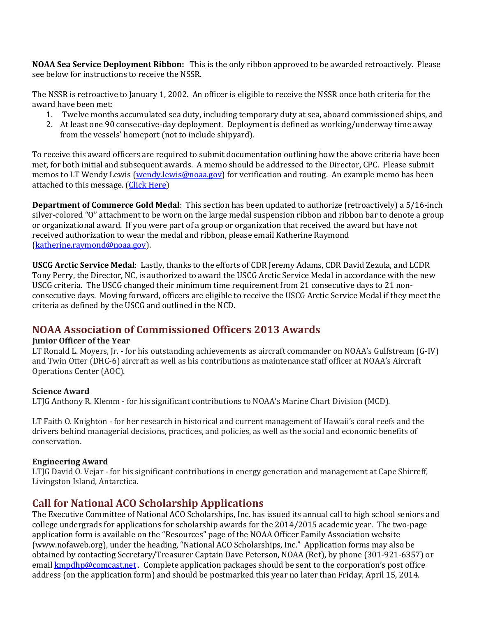**NOAA Sea Service Deployment Ribbon:** This is the only ribbon approved to be awarded retroactively. Please see below for instructions to receive the NSSR.

The NSSR is retroactive to January 1, 2002. An officer is eligible to receive the NSSR once both criteria for the award have been met:

- 1. Twelve months accumulated sea duty, including temporary duty at sea, aboard commissioned ships, and
- 2. At least one 90 consecutive-day deployment. Deployment is defined as working/underway time away from the vessels' homeport (not to include shipyard).

To receive this award officers are required to submit documentation outlining how the above criteria have been met, for both initial and subsequent awards. A memo should be addressed to the Director, CPC. Please submit memos to LT Wendy Lewis [\(wendy.lewis@noaa.gov\)](mailto:wendy.lewis@noaa.gov) for verification and routing. An example memo has been attached to this message. [\(Click Here\)](http://www.corpscpc.noaa.gov/cyberflash/cyberflash2014/template_for_nssr.docx)

**Department of Commerce Gold Medal**: This section has been updated to authorize (retroactively) a 5/16-inch silver-colored "O" attachment to be worn on the large medal suspension ribbon and ribbon bar to denote a group or organizational award. If you were part of a group or organization that received the award but have not received authorization to wear the medal and ribbon, please email Katherine Raymond [\(katherine.raymond@noaa.gov\)](mailto:katherine.raymond@noaa.gov).

**USCG Arctic Service Medal**: Lastly, thanks to the efforts of CDR Jeremy Adams, CDR David Zezula, and LCDR Tony Perry, the Director, NC, is authorized to award the USCG Arctic Service Medal in accordance with the new USCG criteria. The USCG changed their minimum time requirement from 21 consecutive days to 21 nonconsecutive days. Moving forward, officers are eligible to receive the USCG Arctic Service Medal if they meet the criteria as defined by the USCG and outlined in the NCD.

# **NOAA Association of Commissioned Officers 2013 Awards**

#### **Junior Officer of the Year**

LT Ronald L. Moyers, Jr. - for his outstanding achievements as aircraft commander on NOAA's Gulfstream (G-IV) and Twin Otter (DHC-6) aircraft as well as his contributions as maintenance staff officer at NOAA's Aircraft Operations Center (AOC).

#### **Science Award**

LTJG Anthony R. Klemm - for his significant contributions to NOAA's Marine Chart Division (MCD).

LT Faith O. Knighton *-* for her research in historical and current management of Hawaii's coral reefs and the drivers behind managerial decisions, practices, and policies, as well as the social and economic benefits of conservation.

#### **Engineering Award**

LTJG David O. Vejar *-* for his significant contributions in energy generation and management at Cape Shirreff, Livingston Island, Antarctica.

# **Call for National ACO Scholarship Applications**

The Executive Committee of National ACO Scholarships, Inc. has issued its annual call to high school seniors and college undergrads for applications for scholarship awards for the 2014/2015 academic year. The two-page application form is available on the "Resources" page of the NOAA Officer Family Association website (www.nofaweb.org), under the heading, "National ACO Scholarships, Inc." Application forms may also be obtained by contacting Secretary/Treasurer Captain Dave Peterson, NOAA (Ret), by phone (301-921-6357) or email [kmpdhp@comcast.net](mailto:kmpdhp@comcast.net). Complete application packages should be sent to the corporation's post office address (on the application form) and should be postmarked this year no later than Friday, April 15, 2014.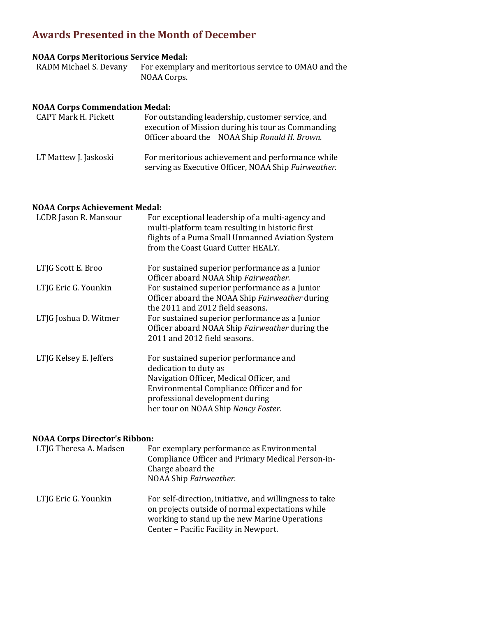# **Awards Presented in the Month of December**

# **NOAA Corps Meritorious Service Medal:**

For exemplary and meritorious service to OMAO and the NOAA Corps.

#### **NOAA Corps Commendation Medal:**

| <b>CAPT Mark H. Pickett</b> | For outstanding leadership, customer service, and<br>execution of Mission during his tour as Commanding<br>Officer aboard the NOAA Ship Ronald H. Brown. |
|-----------------------------|----------------------------------------------------------------------------------------------------------------------------------------------------------|
| LT Mattew J. Jaskoski       | For meritorious achievement and performance while<br>serving as Executive Officer, NOAA Ship Fairweather.                                                |

#### **NOAA Corps Achievement Medal:**

| LCDR Jason R. Mansour  | For exceptional leadership of a multi-agency and<br>multi-platform team resulting in historic first<br>flights of a Puma Small Unmanned Aviation System<br>from the Coast Guard Cutter HEALY.                                     |
|------------------------|-----------------------------------------------------------------------------------------------------------------------------------------------------------------------------------------------------------------------------------|
| LTJG Scott E. Broo     | For sustained superior performance as a Junior<br>Officer aboard NOAA Ship Fairweather.                                                                                                                                           |
| LTJG Eric G. Younkin   | For sustained superior performance as a Junior<br>Officer aboard the NOAA Ship Fairweather during<br>the 2011 and 2012 field seasons.                                                                                             |
| LTJG Joshua D. Witmer  | For sustained superior performance as a Junior<br>Officer aboard NOAA Ship Fairweather during the<br>2011 and 2012 field seasons.                                                                                                 |
| LTJG Kelsey E. Jeffers | For sustained superior performance and<br>dedication to duty as<br>Navigation Officer, Medical Officer, and<br>Environmental Compliance Officer and for<br>professional development during<br>her tour on NOAA Ship Nancy Foster. |

#### **NOAA Corps Director's Ribbon:**

| LTJG Theresa A. Madsen | For exemplary performance as Environmental<br>Compliance Officer and Primary Medical Person-in-<br>Charge aboard the<br>NOAA Ship Fairweather.                                                        |
|------------------------|-------------------------------------------------------------------------------------------------------------------------------------------------------------------------------------------------------|
| LTJG Eric G. Younkin   | For self-direction, initiative, and willingness to take<br>on projects outside of normal expectations while<br>working to stand up the new Marine Operations<br>Center - Pacific Facility in Newport. |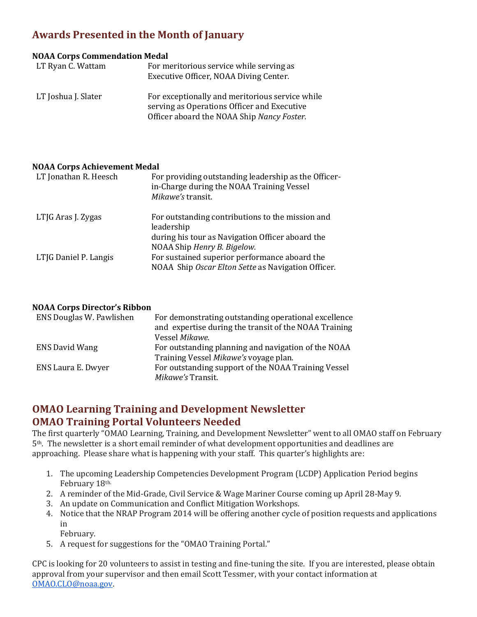# **Awards Presented in the Month of January**

#### **NOAA Corps Commendation Medal**

| LT Ryan C. Wattam   | For meritorious service while serving as<br>Executive Officer, NOAA Diving Center.                                                           |
|---------------------|----------------------------------------------------------------------------------------------------------------------------------------------|
| LT Joshua J. Slater | For exceptionally and meritorious service while<br>serving as Operations Officer and Executive<br>Officer aboard the NOAA Ship Nancy Foster. |

#### **NOAA Corps Achievement Medal**

| LT Jonathan R. Heesch | For providing outstanding leadership as the Officer-<br>in-Charge during the NOAA Training Vessel<br>Mikawe's transit. |
|-----------------------|------------------------------------------------------------------------------------------------------------------------|
| LTJG Aras J. Zygas    | For outstanding contributions to the mission and<br>leadership                                                         |
|                       | during his tour as Navigation Officer aboard the                                                                       |
|                       | NOAA Ship Henry B. Bigelow.                                                                                            |
| LTIG Daniel P. Langis | For sustained superior performance aboard the<br>NOAA Ship Oscar Elton Sette as Navigation Officer.                    |

#### **NOAA Corps Director's Ribbon**

| ENS Douglas W. Pawlishen | For demonstrating outstanding operational excellence                     |
|--------------------------|--------------------------------------------------------------------------|
|                          | and expertise during the transit of the NOAA Training                    |
|                          | Vessel Mikawe.                                                           |
| <b>ENS David Wang</b>    | For outstanding planning and navigation of the NOAA                      |
|                          | Training Vessel Mikawe's voyage plan.                                    |
| ENS Laura E. Dwyer       | For outstanding support of the NOAA Training Vessel<br>Mikawe's Transit. |
|                          |                                                                          |

## **OMAO Learning Training and Development Newsletter OMAO Training Portal Volunteers Needed**

The first quarterly "OMAO Learning, Training, and Development Newsletter" went to all OMAO staff on February 5th. The newsletter is a short email reminder of what development opportunities and deadlines are approaching. Please share what is happening with your staff. This quarter's highlights are:

- 1. The upcoming Leadership Competencies Development Program (LCDP) Application Period begins February 18th.
- 2. A reminder of the Mid-Grade, Civil Service & Wage Mariner Course coming up April 28-May 9.
- 3. An update on Communication and Conflict Mitigation Workshops.
- 4. Notice that the NRAP Program 2014 will be offering another cycle of position requests and applications in
	- February.
- 5. A request for suggestions for the "OMAO Training Portal."

CPC is looking for 20 volunteers to assist in testing and fine-tuning the site. If you are interested, please obtain approval from your supervisor and then email Scott Tessmer, with your contact information at [OMAO.CLO@noaa.gov.](mailto:OMAO.CLO@noaa.gov)